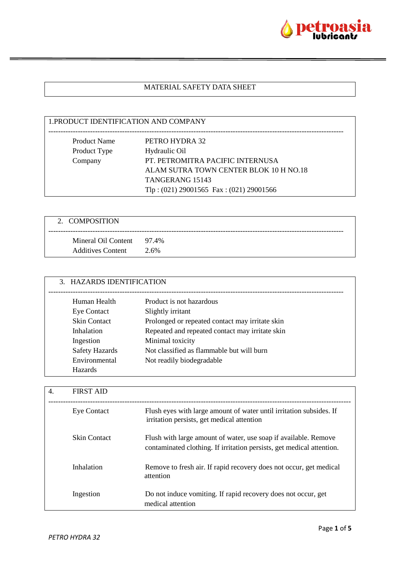

# MATERIAL SAFETY DATA SHEET

| 1. PRODUCT IDENTIFICATION AND COMPANY       |
|---------------------------------------------|
|                                             |
| PETRO HYDRA 32                              |
| Hydraulic Oil                               |
| PT. PETROMITRA PACIFIC INTERNUSA            |
| ALAM SUTRA TOWN CENTER BLOK 10 H NO.18      |
| <b>TANGERANG 15143</b>                      |
| Tlp: $(021)$ 29001565 Fax: $(021)$ 29001566 |
|                                             |

| 2. COMPOSITION                                        |      |
|-------------------------------------------------------|------|
| Mineral Oil Content 97.4%<br><b>Additives Content</b> | 2.6% |

| 3. HAZARDS IDENTIFICATION |                                                 |
|---------------------------|-------------------------------------------------|
| Human Health              | Product is not hazardous                        |
| Eye Contact               | Slightly irritant                               |
| <b>Skin Contact</b>       | Prolonged or repeated contact may irritate skin |
| Inhalation                | Repeated and repeated contact may irritate skin |
| Ingestion                 | Minimal toxicity                                |
| <b>Safety Hazards</b>     | Not classified as flammable but will burn       |
| Environmental             | Not readily biodegradable                       |
| <b>Hazards</b>            |                                                 |

| 4. | <b>FIRST AID</b>    |                                                                                                                                          |
|----|---------------------|------------------------------------------------------------------------------------------------------------------------------------------|
|    | <b>Eye Contact</b>  | Flush eyes with large amount of water until irritation subsides. If<br>irritation persists, get medical attention                        |
|    | <b>Skin Contact</b> | Flush with large amount of water, use soap if available. Remove<br>contaminated clothing. If irritation persists, get medical attention. |
|    | Inhalation          | Remove to fresh air. If rapid recovery does not occur, get medical<br>attention                                                          |
|    | Ingestion           | Do not induce vomiting. If rapid recovery does not occur, get<br>medical attention                                                       |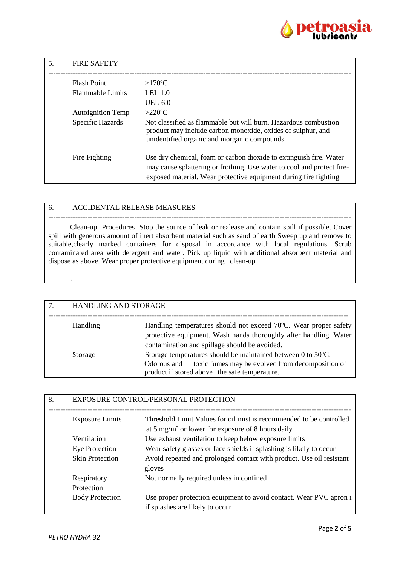

| 5. | <b>FIRE SAFETY</b>       |                                                                                                                                                                                                                  |
|----|--------------------------|------------------------------------------------------------------------------------------------------------------------------------------------------------------------------------------------------------------|
|    | <b>Flash Point</b>       | $>170^{\circ}C$                                                                                                                                                                                                  |
|    | <b>Flammable Limits</b>  | LEL $1.0$                                                                                                                                                                                                        |
|    |                          | <b>UEL 6.0</b>                                                                                                                                                                                                   |
|    | <b>Autoignition Temp</b> | $>220$ °C                                                                                                                                                                                                        |
|    | Specific Hazards         | Not classified as flammable but will burn. Hazardous combustion<br>product may include carbon monoxide, oxides of sulphur, and<br>unidentified organic and inorganic compounds                                   |
|    | Fire Fighting            | Use dry chemical, foam or carbon dioxide to extinguish fire. Water<br>may cause splattering or frothing. Use water to cool and protect fire-<br>exposed material. Wear protective equipment during fire fighting |

#### 6. ACCIDENTAL RELEASE MEASURES

--------------------------------------------------------------------------------------------------------------------------- Clean-up Procedures Stop the source of leak or realease and contain spill if possible. Cover spill with generous amount of inert absorbent material such as sand of earth Sweep up and remove to suitable,clearly marked containers for disposal in accordance with local regulations. Scrub contaminated area with detergent and water. Pick up liquid with additional absorbent material and dispose as above. Wear proper protective equipment during clean-up

| 7. | HANDLING AND STORAGE |                                                                                                                                                                                        |
|----|----------------------|----------------------------------------------------------------------------------------------------------------------------------------------------------------------------------------|
|    | Handling             | Handling temperatures should not exceed 70°C. Wear proper safety<br>protective equipment. Wash hands thoroughly after handling. Water<br>contamination and spillage should be avoided. |
|    | Storage              | Storage temperatures should be maintained between 0 to 50°C.<br>toxic fumes may be evolved from decomposition of<br>Odorous and<br>product if stored above the safe temperature.       |

| 8. |                        | EXPOSURE CONTROL/PERSONAL PROTECTION                                                                                                 |
|----|------------------------|--------------------------------------------------------------------------------------------------------------------------------------|
|    | <b>Exposure Limits</b> | Threshold Limit Values for oil mist is recommended to be controlled<br>at 5 mg/m <sup>3</sup> or lower for exposure of 8 hours daily |
|    | Ventilation            | Use exhaust ventilation to keep below exposure limits                                                                                |
|    | <b>Eye Protection</b>  | Wear safety glasses or face shields if splashing is likely to occur                                                                  |
|    | <b>Skin Protection</b> | Avoid repeated and prolonged contact with product. Use oil resistant<br>gloves                                                       |
|    | Respiratory            | Not normally required unless in confined                                                                                             |
|    | Protection             |                                                                                                                                      |
|    | <b>Body Protection</b> | Use proper protection equipment to avoid contact. Wear PVC apron i<br>if splashes are likely to occur                                |

.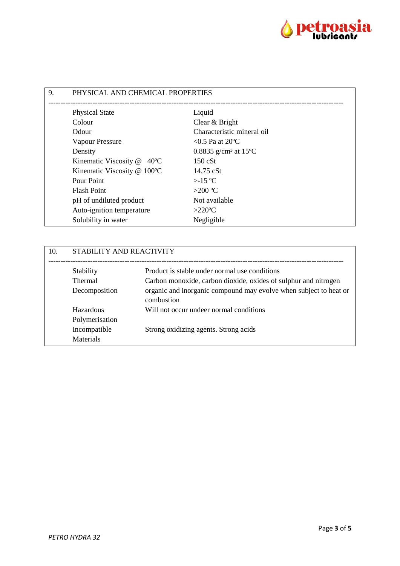

| 9. | PHYSICAL AND CHEMICAL PROPERTIES |                                               |  |
|----|----------------------------------|-----------------------------------------------|--|
|    | <b>Physical State</b>            | Liquid                                        |  |
|    | Colour                           | Clear & Bright                                |  |
|    | Odour                            | Characteristic mineral oil                    |  |
|    | Vapour Pressure                  | $< 0.5$ Pa at 20 °C                           |  |
|    | Density                          | 0.8835 g/cm <sup>3</sup> at 15 <sup>o</sup> C |  |
|    | Kinematic Viscosity @ 40°C       | 150 cSt                                       |  |
|    | Kinematic Viscosity @ 100°C      | 14,75 cSt                                     |  |
|    | Pour Point                       | $>15^{\circ}C$                                |  |
|    | <b>Flash Point</b>               | $>200$ °C                                     |  |
|    | pH of undiluted product          | Not available                                 |  |
|    | Auto-ignition temperature        | $>220$ °C                                     |  |
|    | Solubility in water              | Negligible                                    |  |

| 10. | STABILITY AND REACTIVITY |                                                                                 |
|-----|--------------------------|---------------------------------------------------------------------------------|
|     | Stability                | Product is stable under normal use conditions                                   |
|     | <b>Thermal</b>           | Carbon monoxide, carbon dioxide, oxides of sulphur and nitrogen                 |
|     | Decomposition            | organic and inorganic compound may evolve when subject to heat or<br>combustion |
|     | Hazardous                | Will not occur undeer normal conditions                                         |
|     | Polymerisation           |                                                                                 |
|     | Incompatible             | Strong oxidizing agents. Strong acids                                           |
|     | Materials                |                                                                                 |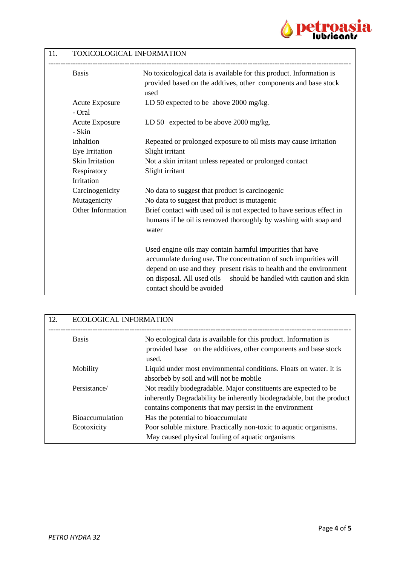

## 11. TOXICOLOGICAL INFORMATION

| <b>Basis</b>                    | No toxicological data is available for this product. Information is<br>provided based on the addtives, other components and base stock<br>used |
|---------------------------------|------------------------------------------------------------------------------------------------------------------------------------------------|
| <b>Acute Exposure</b><br>- Oral | LD 50 expected to be above 2000 mg/kg.                                                                                                         |
| <b>Acute Exposure</b><br>- Skin | LD 50 expected to be above 2000 mg/kg.                                                                                                         |
| Inhaltion                       | Repeated or prolonged exposure to oil mists may cause irritation                                                                               |
| Eye Irritation                  | Slight irritant                                                                                                                                |
| <b>Skin Irritation</b>          | Not a skin irritant unless repeated or prolonged contact                                                                                       |
| Respiratory                     | Slight irritant                                                                                                                                |
| Irritation                      |                                                                                                                                                |
| Carcinogenicity                 | No data to suggest that product is carcinogenic                                                                                                |
| Mutagenicity                    | No data to suggest that product is mutagenic                                                                                                   |
| Other Information               | Brief contact with used oil is not expected to have serious effect in                                                                          |
|                                 | humans if he oil is removed thoroughly by washing with soap and<br>water                                                                       |
|                                 | Used engine oils may contain harmful impurities that have                                                                                      |
|                                 | accumulate during use. The concentration of such impurities will                                                                               |
|                                 | depend on use and they present risks to health and the environment                                                                             |
|                                 | on disposal. All used oils<br>should be handled with caution and skin<br>contact should be avoided                                             |

| 12. | <b>ECOLOGICAL INFORMATION</b>         |                                                                                                                                                                                                      |
|-----|---------------------------------------|------------------------------------------------------------------------------------------------------------------------------------------------------------------------------------------------------|
|     | <b>Basis</b>                          | No ecological data is available for this product. Information is<br>provided base on the additives, other components and base stock<br>used.                                                         |
|     | Mobility                              | Liquid under most environmental conditions. Floats on water. It is<br>absorbeb by soil and will not be mobile                                                                                        |
|     | Persistance/                          | Not readily biodegradable. Major constituents are expected to be<br>inherently Degradability be inherently biodegradable, but the product<br>contains components that may persist in the environment |
|     | <b>Bioaccumulation</b><br>Ecotoxicity | Has the potential to bioaccumulate<br>Poor soluble mixture. Practically non-toxic to aquatic organisms.<br>May caused physical fouling of aquatic organisms                                          |